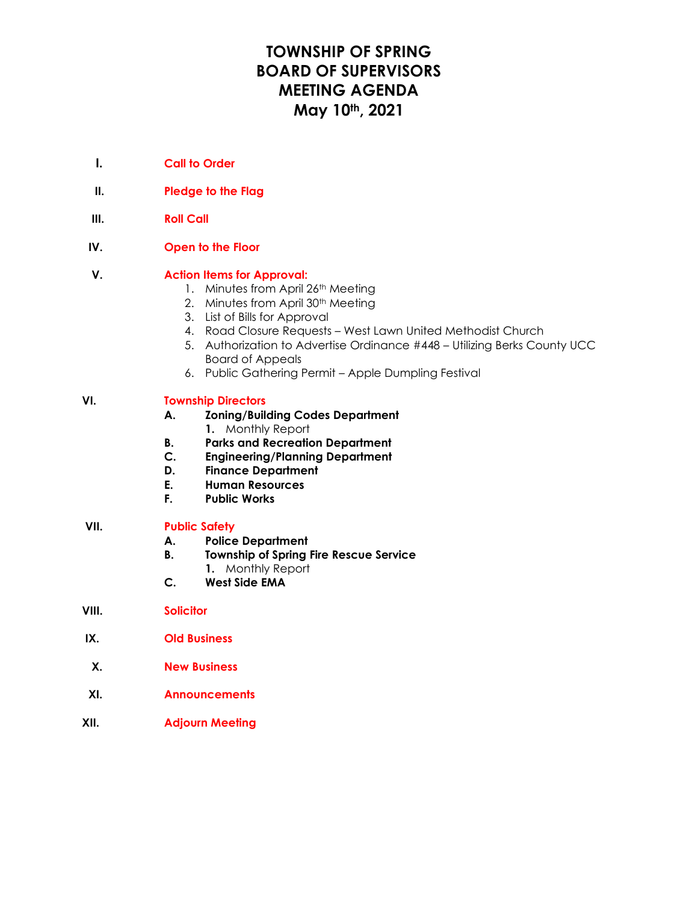# **TOWNSHIP OF SPRING BOARD OF SUPERVISORS MEETING AGENDA May 10th, 2021**

- **I. Call to Order**
- **II. Pledge to the Flag**
- **III. Roll Call**
- **IV. Open to the Floor**

### **V. Action Items for Approval:**

- 1. Minutes from April 26th Meeting
- 2. Minutes from April 30<sup>th</sup> Meeting
- 3. List of Bills for Approval
- 4. Road Closure Requests West Lawn United Methodist Church
- 5. Authorization to Advertise Ordinance #448 Utilizing Berks County UCC Board of Appeals
- 6. Public Gathering Permit Apple Dumpling Festival

### **VI. Township Directors**

- **A. Zoning/Building Codes Department**
	- **1.** Monthly Report
- **B. Parks and Recreation Department**
- **C. Engineering/Planning Department**
- **D. Finance Department**
- **E. Human Resources**
- **F. Public Works**

#### **VII. Public Safety**

- **A. Police Department**
- **B. Township of Spring Fire Rescue Service**
	- **1.** Monthly Report
- **C. West Side EMA**
- **VIII. Solicitor**
- **IX. Old Business**
- **X. New Business**
- **XI. Announcements**
- **XII. Adjourn Meeting**